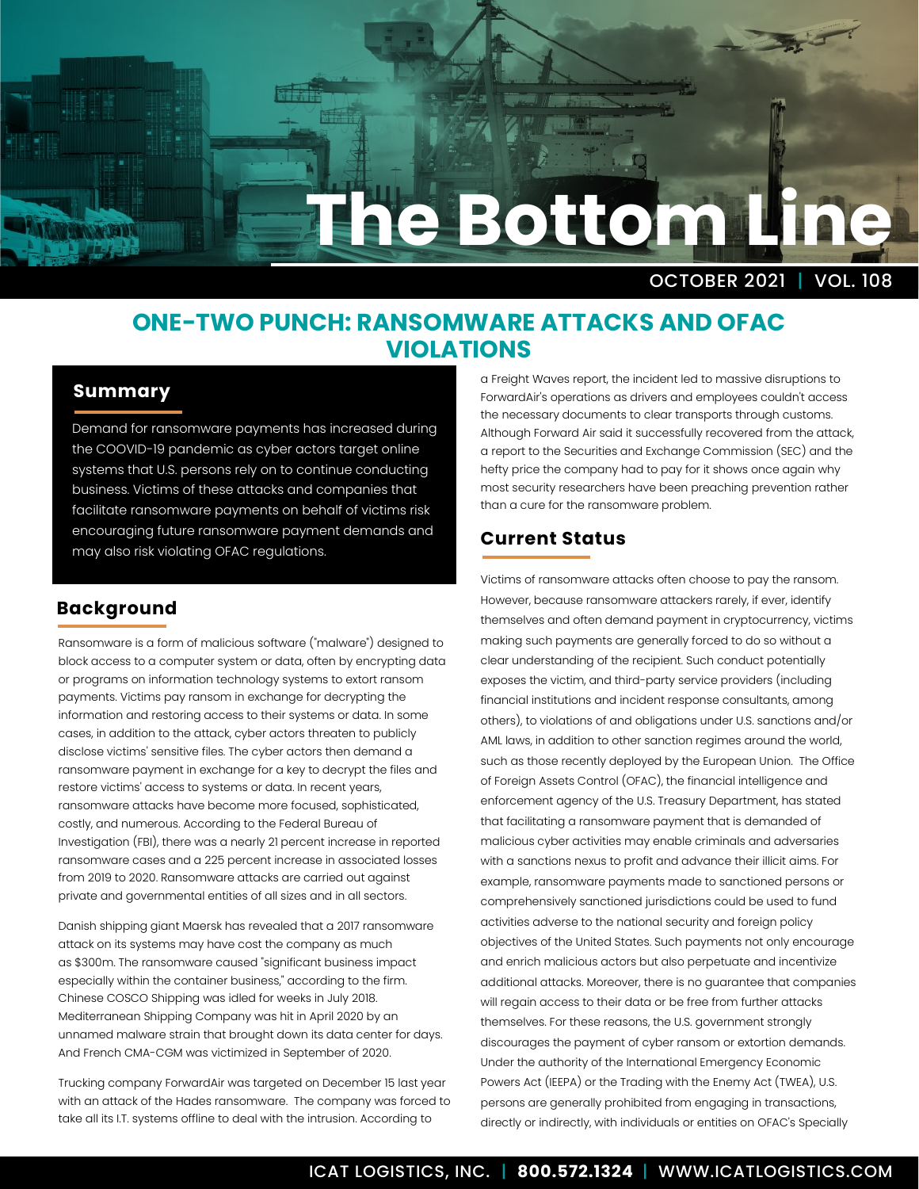# **The Bottom Line**

OCTOBER 2021 | VOL. 108

## **ONE-TWO PUNCH: RANSOMWARE ATTACKS AND OFAC VIOLATIONS**

#### **Summary**

Demand for ransomware payments has increased during the COOVID-19 pandemic as cyber actors target online systems that U.S. persons rely on to continue conducting business. Victims of these attacks and companies that facilitate ransomware payments on behalf of victims risk encouraging future ransomware payment demands and may also risk violating OFAC regulations.

### **Background**

Ransomware is a form of malicious software ("malware") designed to block access to a computer system or data, often by encrypting data or programs on information technology systems to extort ransom payments. Victims pay ransom in exchange for decrypting the information and restoring access to their systems or data. In some cases, in addition to the attack, cyber actors threaten to publicly disclose victims' sensitive files. The cyber actors then demand a ransomware payment in exchange for a key to decrypt the files and restore victims' access to systems or data. In recent years, ransomware attacks have become more focused, sophisticated, costly, and numerous. According to the Federal Bureau of Investigation (FBI), there was a nearly 21 percent increase in reported ransomware cases and a 225 percent increase in associated losses from 2019 to 2020. Ransomware attacks are carried out against private and governmental entities of all sizes and in all sectors.

Danish shipping giant Maersk has revealed that a 2017 ransomware attack on its systems may have cost the company as much as \$300m. The ransomware caused "significant business impact especially within the container business," according to the firm. Chinese COSCO Shipping was idled for weeks in July 2018. Mediterranean Shipping Company was hit in April 2020 by an unnamed malware strain that brought down its data center for days. And French CMA-CGM was victimized in September of 2020.

Trucking company ForwardAir was targeted on December 15 last year with an attack of the Hades ransomware. The company was forced to take all its I.T. systems offline to deal with the intrusion. According to

a Freight Waves report, the incident led to massive disruptions to ForwardAir's operations as drivers and employees couldn't access the necessary documents to clear transports through customs. Although Forward Air said it successfully recovered from the attack, a report to the Securities and Exchange Commission (SEC) and the hefty price the company had to pay for it shows once again why most security researchers have been preaching prevention rather than a cure for the ransomware problem.

### **Current Status**

Victims of ransomware attacks often choose to pay the ransom. However, because ransomware attackers rarely, if ever, identify themselves and often demand payment in cryptocurrency, victims making such payments are generally forced to do so without a clear understanding of the recipient. Such conduct potentially exposes the victim, and third-party service providers (including financial institutions and incident response consultants, among others), to violations of and obligations under U.S. sanctions and/or AML laws, in addition to other sanction regimes around the world, such as those recently deployed by the European Union. The Office of Foreign Assets Control (OFAC), the financial intelligence and enforcement agency of the U.S. Treasury Department, has stated that facilitating a ransomware payment that is demanded of malicious cyber activities may enable criminals and adversaries with a sanctions nexus to profit and advance their illicit aims. For example, ransomware payments made to sanctioned persons or comprehensively sanctioned jurisdictions could be used to fund activities adverse to the national security and foreign policy objectives of the United States. Such payments not only encourage and enrich malicious actors but also perpetuate and incentivize additional attacks. Moreover, there is no guarantee that companies will regain access to their data or be free from further attacks themselves. For these reasons, the U.S. government strongly discourages the payment of cyber ransom or extortion demands. Under the authority of the International Emergency Economic Powers Act (IEEPA) or the Trading with the Enemy Act (TWEA), U.S. persons are generally prohibited from engaging in transactions, directly or indirectly, with individuals or entities on OFAC's Specially